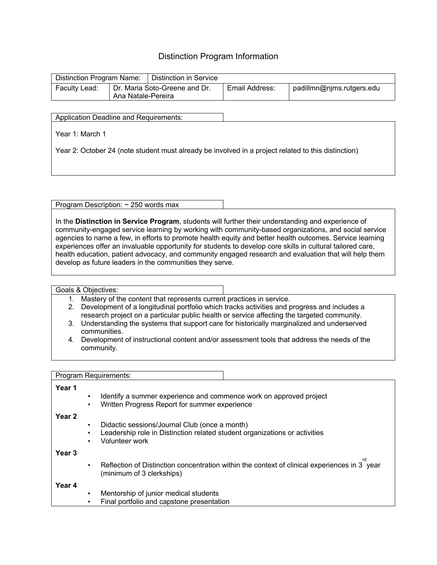## Distinction Program Information

| Distinction Program Name: |                                                     | Distinction in Service |                |                           |
|---------------------------|-----------------------------------------------------|------------------------|----------------|---------------------------|
| Faculty Lead:             | Dr. Maria Soto-Greene and Dr.<br>Ana Natale-Pereira |                        | Email Address: | padillmn@njms.rutgers.edu |

Application Deadline and Requirements:

Year 1: March 1

Year 2: October 24 (note student must already be involved in a project related to this distinction)

Program Description: ~ 250 words max

In the **Distinction in Service Program**, students will further their understanding and experience of community-engaged service learning by working with community-based organizations, and social service agencies to name a few, in efforts to promote health equity and better health outcomes. Service learning experiences offer an invaluable opportunity for students to develop core skills in cultural tailored care, health education, patient advocacy, and community engaged research and evaluation that will help them develop as future leaders in the communities they serve.

Goals & Objectives:

- 1. Mastery of the content that represents current practices in service.
- 2. Development of a longitudinal portfolio which tracks activities and progress and includes a research project on a particular public health or service affecting the targeted community.
- 3. Understanding the systems that support care for historically marginalized and underserved communities.
- 4. Development of instructional content and/or assessment tools that address the needs of the community.

| Program Requirements: |                                                                                                                                                    |  |  |  |
|-----------------------|----------------------------------------------------------------------------------------------------------------------------------------------------|--|--|--|
| Year 1                | Identify a summer experience and commence work on approved project<br>٠<br>Written Progress Report for summer experience<br>٠                      |  |  |  |
| Year 2                | Didactic sessions/Journal Club (once a month)<br>٠<br>Leadership role in Distinction related student organizations or activities<br>Volunteer work |  |  |  |
| Year 3                | Reflection of Distinction concentration within the context of clinical experiences in 3 year<br>$\bullet$<br>(minimum of 3 clerkships)             |  |  |  |
| Year 4                | Mentorship of junior medical students<br>٠<br>Final portfolio and capstone presentation                                                            |  |  |  |